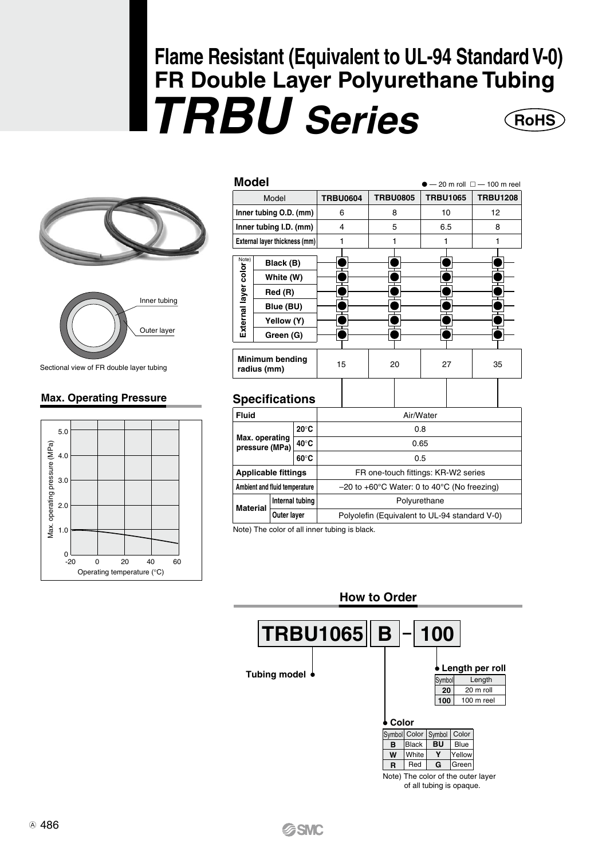# **Flame Resistant (Equivalent to UL-94 Standard V-0) FR Double Layer Polyurethane Tubing**  *TRBU Series* **RoHS**





Sectional view of FR double layer tubing

#### **Max. Operating Pressure**



|                                   | Model                                                                     | <b>TRBU0604</b> | <b>TRBU0805</b> | <b>TRBU1065</b> | $-20$ m roll $\Box - 100$ m reel<br><b>TRBU1208</b> |  |
|-----------------------------------|---------------------------------------------------------------------------|-----------------|-----------------|-----------------|-----------------------------------------------------|--|
|                                   | Inner tubing O.D. (mm)                                                    | 6               | 8               | 10              | 12                                                  |  |
|                                   | Inner tubing I.D. (mm)                                                    | 4               | 5               | 6.5             | 8                                                   |  |
|                                   | External layer thickness (mm)                                             |                 |                 |                 |                                                     |  |
| External layer color <sup>z</sup> | Black (B)<br>White (W)<br>Red (R)<br>Blue (BU)<br>Yellow (Y)<br>Green (G) |                 |                 |                 |                                                     |  |
| Minimum bending<br>radius (mm)    |                                                                           | 15              | 20              | 27              | 35                                                  |  |

### **Specifications**

| Fluid                            |                 |                |     | Air/Water                                                          |                                               |  |  |  |
|----------------------------------|-----------------|----------------|-----|--------------------------------------------------------------------|-----------------------------------------------|--|--|--|
| $20^{\circ}$ C                   |                 |                |     | 0.8                                                                |                                               |  |  |  |
| Max. operating<br>pressure (MPa) |                 | $40^{\circ}$ C |     | 0.65                                                               |                                               |  |  |  |
|                                  |                 | $60^{\circ}$ C | 0.5 |                                                                    |                                               |  |  |  |
| <b>Applicable fittings</b>       |                 |                |     | FR one-touch fittings: KR-W2 series                                |                                               |  |  |  |
| Ambient and fluid temperature    |                 |                |     | $-20$ to $+60^{\circ}$ C Water: 0 to 40 $^{\circ}$ C (No freezing) |                                               |  |  |  |
| <b>Material</b>                  | Internal tubing |                |     | Polyurethane                                                       |                                               |  |  |  |
|                                  | Outer layer     |                |     |                                                                    | Polyolefin (Equivalent to UL-94 standard V-0) |  |  |  |
|                                  |                 |                |     |                                                                    |                                               |  |  |  |

Note) The color of all inner tubing is black.